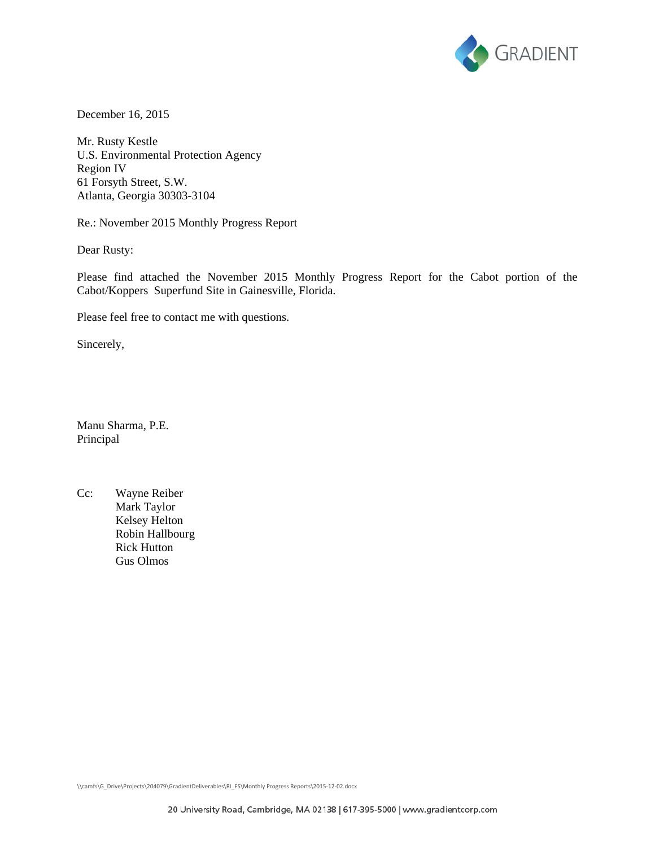

December 16, 2015

Mr. Rusty Kestle U.S. Environmental Protection Agency Region IV 61 Forsyth Street, S.W. Atlanta, Georgia 30303-3104

Re.: November 2015 Monthly Progress Report

Dear Rusty:

Please find attached the November 2015 Monthly Progress Report for the Cabot portion of the Cabot/Koppers Superfund Site in Gainesville, Florida.

Please feel free to contact me with questions.

Sincerely,

Manu Sharma, P.E. Principal

Cc: Wayne Reiber Mark Taylor Kelsey Helton Robin Hallbourg Rick Hutton Gus Olmos

\\camfs\G\_Drive\Projects\204079\GradientDeliverables\RI\_FS\Monthly Progress Reports\2015‐12‐02.docx